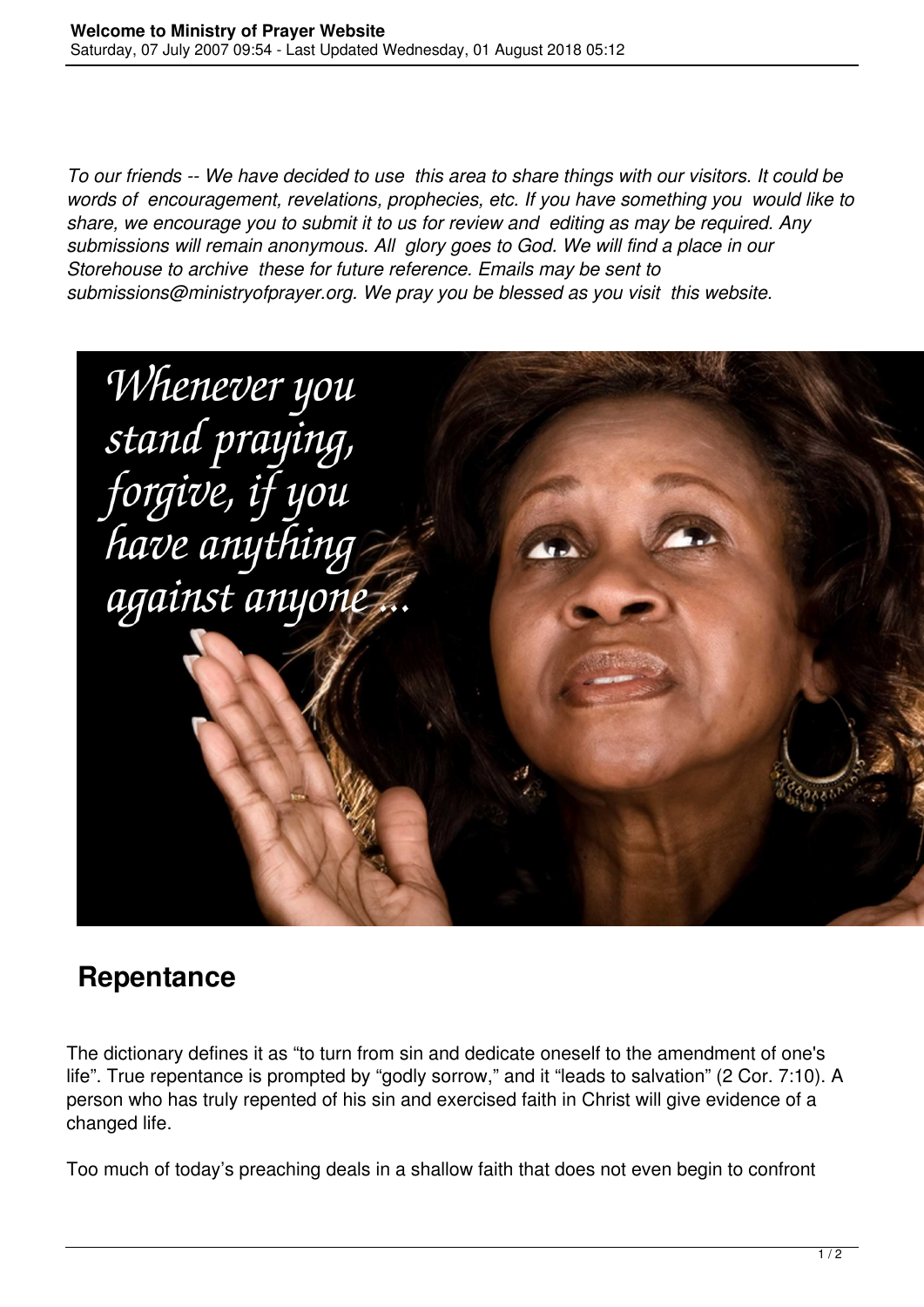*To our friends -- We have decided to use this area to share things with our visitors. It could be words of encouragement, revelations, prophecies, etc. If you have something you would like to share, we encourage you to submit it to us for review and editing as may be required. Any submissions will remain anonymous. All glory goes to God. We will find a place in our Storehouse to archive these for future reference. Emails may be sent to submissions@ministryofprayer.org. We pray you be blessed as you visit this website.*



## **Repentance**

The dictionary defines it as "to turn from sin and dedicate oneself to the amendment of one's life". True repentance is prompted by "godly sorrow," and it "leads to salvation" (2 Cor. 7:10). A person who has truly repented of his sin and exercised faith in Christ will give evidence of a changed life.

Too much of today's preaching deals in a shallow faith that does not even begin to confront